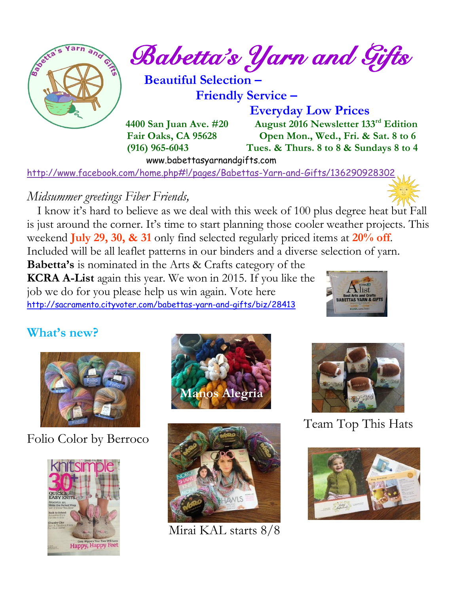

 $\frac{1}{2}$  and  $\frac{1}{2}$  Babetta's Yarn and Gifts

 **Beautiful Selection –**

 **Friendly Service –**

 **Everyday Low Prices 4400 San Juan Ave. #20 August 2016 Newsletter 133rd Edition Fair Oaks, CA 95628 Open Mon., Wed., Fri. & Sat. 8 to 6 (916) 965-6043 Tues. & Thurs. 8 to 8 & Sundays 8 to 4** 

www.babettasyarnandgifts.com

<http://www.facebook.com/home.php#!/pages/Babettas-Yarn-and-Gifts/136290928302>

## *Midsummer greetings Fiber Friends,*

 I know it's hard to believe as we deal with this week of 100 plus degree heat but Fall is just around the corner. It's time to start planning those cooler weather projects. This weekend **July 29, 30, & 31** only find selected regularly priced items at **20% off**. Included will be all leaflet patterns in our binders and a diverse selection of yarn.

**Babetta's** is nominated in the Arts & Crafts category of the **KCRA A-List** again this year. We won in 2015. If you like the job we do for you please help us win again. Vote here <http://sacramento.cityvoter.com/babettas-yarn-and-gifts/biz/28413>



## **What's new?**



Folio Color by Berroco







Mirai KAL starts 8/8



Team Top This Hats

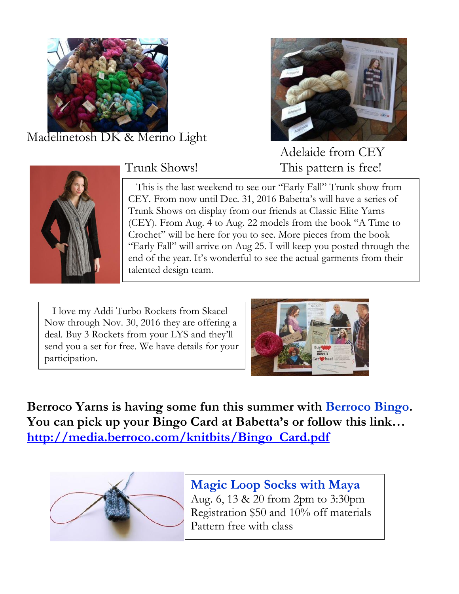

Madelinetosh DK & Merino Light





Adelaide from CEY Trunk Shows! This pattern is free!



 This is the last weekend to see our "Early Fall" Trunk show from CEY. From now until Dec. 31, 2016 Babetta's will have a series of Trunk Shows on display from our friends at Classic Elite Yarns (CEY). From Aug. 4 to Aug. 22 models from the book "A Time to Crochet" will be here for you to see. More pieces from the book "Early Fall" will arrive on Aug 25. I will keep you posted through the end of the year. It's wonderful to see the actual garments from their talented design team.

 I love my Addi Turbo Rockets from Skacel Now through Nov. 30, 2016 they are offering a deal. Buy 3 Rockets from your LYS and they'll send you a set for free. We have details for your participation.



**Berroco Yarns is having some fun this summer with Berroco Bingo. You can pick up your Bingo Card at Babetta's or follow this link… [http://media.berroco.com/knitbits/Bingo\\_Card.pdf](http://media.berroco.com/knitbits/Bingo_Card.pdf)**



**Magic Loop Socks with Maya** Aug. 6, 13 & 20 from 2pm to 3:30pm Registration \$50 and 10% off materials Pattern free with class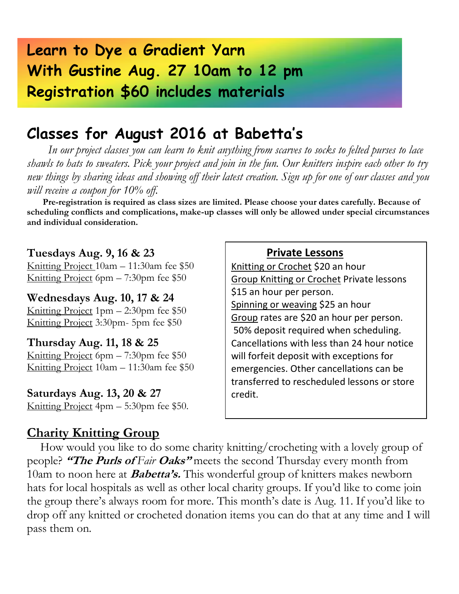# **Learn to Dye a Gradient Yarn With Gustine Aug. 27 10am to 12 pm Registration \$60 includes materials**

## **Classes for August 2016 at Babetta's**

 *In our project classes you can learn to knit anything from scarves to socks to felted purses to lace shawls to hats to sweaters. Pick your project and join in the fun. Our knitters inspire each other to try new things by sharing ideas and showing off their latest creation. Sign up for one of our classes and you will receive a coupon for 10% off.*

 **Pre-registration is required as class sizes are limited. Please choose your dates carefully. Because of scheduling conflicts and complications, make-up classes will only be allowed under special circumstances and individual consideration.**

#### **Tuesdays Aug. 9, 16 & 23**

Knitting Project 10am – 11:30am fee \$50 Knitting Project 6pm – 7:30pm fee \$50

**Wednesdays Aug. 10, 17 & 24** Knitting Project 1pm – 2:30pm fee \$50 Knitting Project 3:30pm- 5pm fee \$50

**Thursday Aug. 11, 18 & 25** Knitting Project 6pm – 7:30pm fee \$50 Knitting Project 10am – 11:30am fee \$50

**Saturdays Aug. 13, 20 & 27** Knitting Project 4pm – 5:30pm fee \$50.

#### **Charity Knitting Group**

#### **Private Lessons**

Knitting or Crochet \$20 an hour Group Knitting or Crochet Private lessons \$15 an hour per person. Spinning or weaving \$25 an hour Group rates are \$20 an hour per person. 50% deposit required when scheduling. Cancellations with less than 24 hour notice will forfeit deposit with exceptions for emergencies. Other cancellations can be transferred to rescheduled lessons or store credit.

 How would you like to do some charity knitting/crocheting with a lovely group of people? **"The Purls of** *Fair* **Oaks"** meets the second Thursday every month from 10am to noon here at **Babetta's.** This wonderful group of knitters makes newborn hats for local hospitals as well as other local charity groups. If you'd like to come join the group there's always room for more. This month's date is Aug. 11. If you'd like to drop off any knitted or crocheted donation items you can do that at any time and I will pass them on.